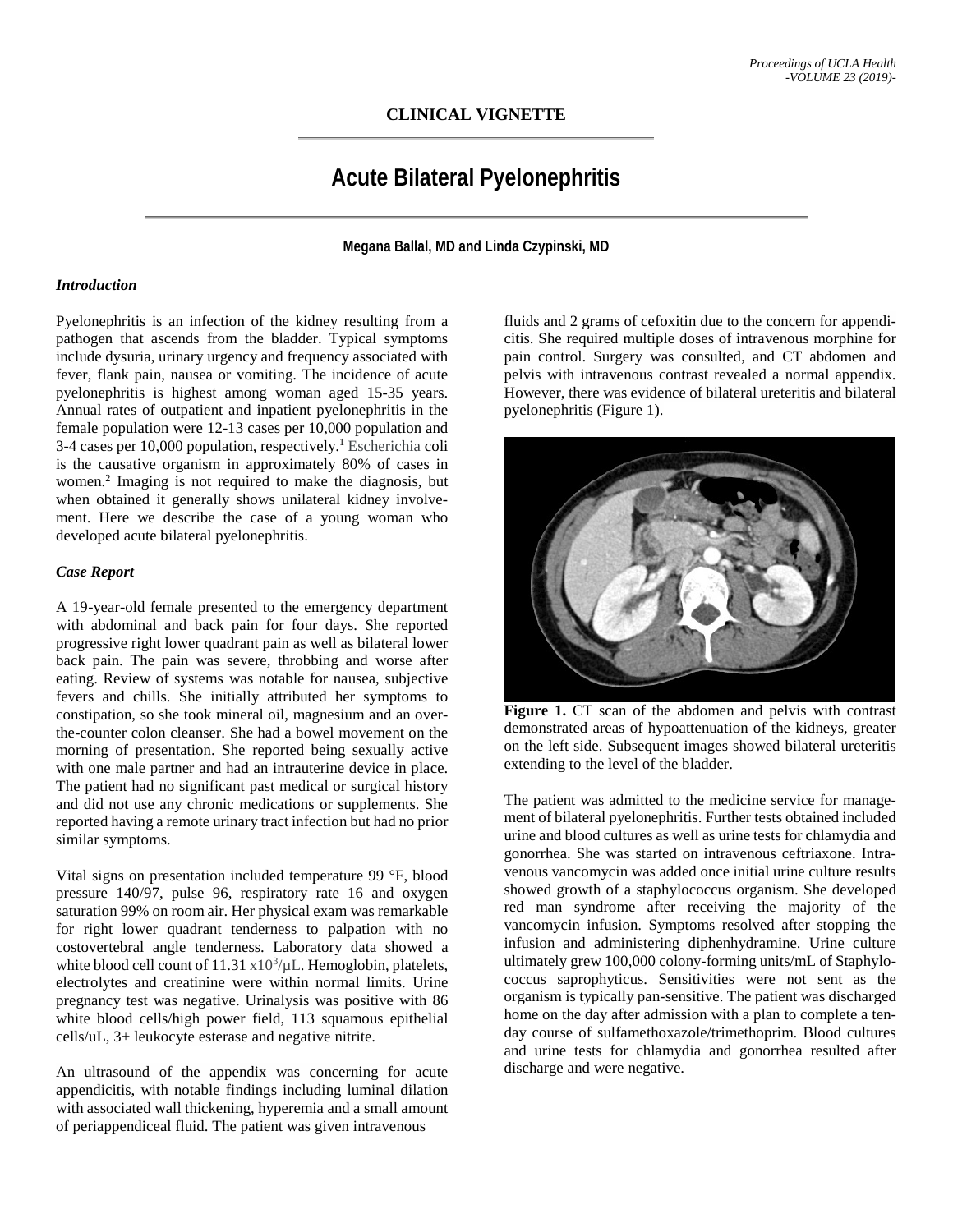## **CLINICAL VIGNETTE**

# **Acute Bilateral Pyelonephritis**

**Megana Ballal, MD and Linda Czypinski, MD**

#### *Introduction*

Pyelonephritis is an infection of the kidney resulting from a pathogen that ascends from the bladder. Typical symptoms include dysuria, urinary urgency and frequency associated with fever, flank pain, nausea or vomiting. The incidence of acute pyelonephritis is highest among woman aged 15-35 years. Annual rates of outpatient and inpatient pyelonephritis in the female population were 12-13 cases per 10,000 population and  $3-4$  cases per 10,000 population, respectively.<sup>1</sup> Escherichia coli is the causative organism in approximately 80% of cases in women.2 Imaging is not required to make the diagnosis, but when obtained it generally shows unilateral kidney involvement. Here we describe the case of a young woman who developed acute bilateral pyelonephritis.

## *Case Report*

A 19-year-old female presented to the emergency department with abdominal and back pain for four days. She reported progressive right lower quadrant pain as well as bilateral lower back pain. The pain was severe, throbbing and worse after eating. Review of systems was notable for nausea, subjective fevers and chills. She initially attributed her symptoms to constipation, so she took mineral oil, magnesium and an overthe-counter colon cleanser. She had a bowel movement on the morning of presentation. She reported being sexually active with one male partner and had an intrauterine device in place. The patient had no significant past medical or surgical history and did not use any chronic medications or supplements. She reported having a remote urinary tract infection but had no prior similar symptoms.

Vital signs on presentation included temperature 99 °F, blood pressure 140/97, pulse 96, respiratory rate 16 and oxygen saturation 99% on room air. Her physical exam was remarkable for right lower quadrant tenderness to palpation with no costovertebral angle tenderness. Laboratory data showed a white blood cell count of  $11.31 \times 10^3/\mu$ L. Hemoglobin, platelets, electrolytes and creatinine were within normal limits. Urine pregnancy test was negative. Urinalysis was positive with 86 white blood cells/high power field, 113 squamous epithelial cells/uL, 3+ leukocyte esterase and negative nitrite.

An ultrasound of the appendix was concerning for acute appendicitis, with notable findings including luminal dilation with associated wall thickening, hyperemia and a small amount of periappendiceal fluid. The patient was given intravenous

fluids and 2 grams of cefoxitin due to the concern for appendicitis. She required multiple doses of intravenous morphine for pain control. Surgery was consulted, and CT abdomen and pelvis with intravenous contrast revealed a normal appendix. However, there was evidence of bilateral ureteritis and bilateral pyelonephritis (Figure 1).



**Figure 1.** CT scan of the abdomen and pelvis with contrast demonstrated areas of hypoattenuation of the kidneys, greater on the left side. Subsequent images showed bilateral ureteritis extending to the level of the bladder.

The patient was admitted to the medicine service for management of bilateral pyelonephritis. Further tests obtained included urine and blood cultures as well as urine tests for chlamydia and gonorrhea. She was started on intravenous ceftriaxone. Intravenous vancomycin was added once initial urine culture results showed growth of a staphylococcus organism. She developed red man syndrome after receiving the majority of the vancomycin infusion. Symptoms resolved after stopping the infusion and administering diphenhydramine. Urine culture ultimately grew 100,000 colony-forming units/mL of Staphylococcus saprophyticus. Sensitivities were not sent as the organism is typically pan-sensitive. The patient was discharged home on the day after admission with a plan to complete a tenday course of sulfamethoxazole/trimethoprim. Blood cultures and urine tests for chlamydia and gonorrhea resulted after discharge and were negative.